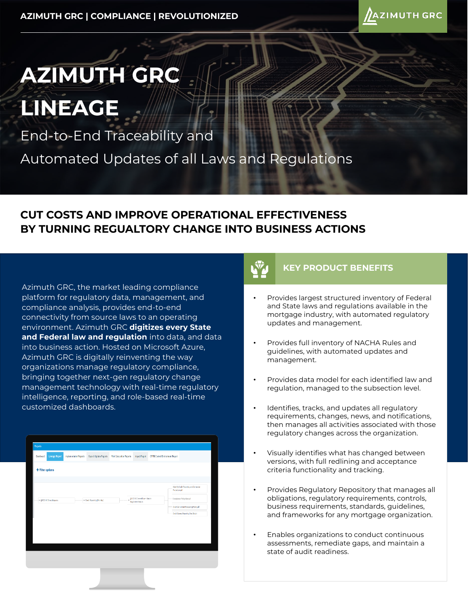

# **AZIMUTH GRC**

**LINEAGE**

End-to-End Traceability and

Automated Updates of all Laws and Regulations

### **CUT COSTS AND IMPROVE OPERATIONAL EFFECTIVENESS BY TURNING REGUALTORY CHANGE INTO BUSINESS ACTIONS**

Azimuth GRC, the market leading compliance platform for regulatory data, management, and compliance analysis, provides end-to-end connectivity from source laws to an operating environment. Azimuth GRC **digitizes every State and Federal law and regulation** into data, and data into business action. Hosted on Microsoft Azure, Azimuth GRC is digitally reinventing the way organizations manage regulatory compliance, bringing together next-gen regulatory change management technology with real-time regulatory intelligence, reporting, and role-based real-time customized dashboards.

#### **KEY PRODUCT BENEFITS**

- Provides largest structured inventory of Federal and State laws and regulations available in the mortgage industry, with automated regulatory updates and management.
- Provides full inventory of NACHA Rules and guidelines, with automated updates and management.
- Provides data model for each identified law and regulation, managed to the subsection level.
- Identifies, tracks, and updates all regulatory requirements, changes, news, and notifications, then manages all activities associated with those regulatory changes across the organization.
- Visually identifies what has changed between versions, with full redlining and acceptance criteria functionality and tracking.
- Provides Regulatory Repository that manages all obligations, regulatory requirements, controls, business requirements, standards, guidelines, and frameworks for any mortgage organization.
- Enables organizations to conduct continuous assessments, remediate gaps, and maintain a state of audit readiness.